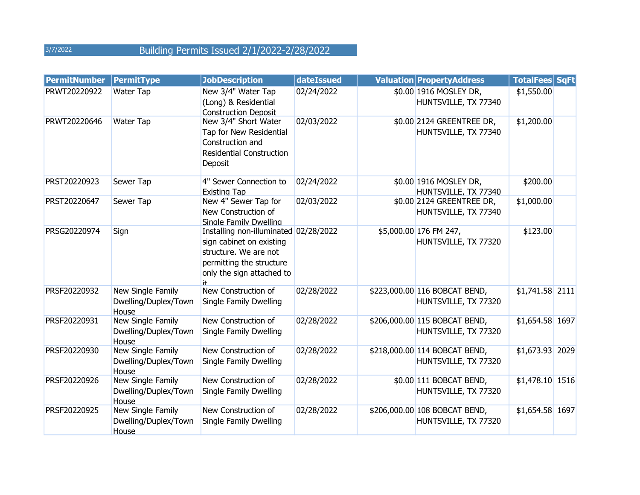| <b>PermitNumber</b> | <b>PermitType</b>                                  | <b>JobDescription</b>                                                                                                                               | dateIssued | <b>Valuation PropertyAddress</b>                      | <b>TotalFees SqFt</b> |  |
|---------------------|----------------------------------------------------|-----------------------------------------------------------------------------------------------------------------------------------------------------|------------|-------------------------------------------------------|-----------------------|--|
| PRWT20220922        | <b>Water Tap</b>                                   | New 3/4" Water Tap<br>(Long) & Residential<br><b>Construction Deposit</b>                                                                           | 02/24/2022 | \$0.00 1916 MOSLEY DR,<br>HUNTSVILLE, TX 77340        | \$1,550.00            |  |
| PRWT20220646        | Water Tap                                          | New 3/4" Short Water<br>Tap for New Residential<br>Construction and<br><b>Residential Construction</b><br>Deposit                                   | 02/03/2022 | \$0.00 2124 GREENTREE DR,<br>HUNTSVILLE, TX 77340     | \$1,200.00            |  |
| PRST20220923        | Sewer Tap                                          | 4" Sewer Connection to<br><b>Existing Tap</b>                                                                                                       | 02/24/2022 | \$0.00 1916 MOSLEY DR,<br>HUNTSVILLE, TX 77340        | \$200.00              |  |
| PRST20220647        | Sewer Tap                                          | New 4" Sewer Tap for<br>New Construction of<br>Single Family Dwelling                                                                               | 02/03/2022 | \$0.00 2124 GREENTREE DR,<br>HUNTSVILLE, TX 77340     | \$1,000.00            |  |
| PRSG20220974        | Sign                                               | Installing non-illuminated 02/28/2022<br>sign cabinet on existing<br>structure. We are not<br>permitting the structure<br>only the sign attached to |            | \$5,000.00 176 FM 247,<br>HUNTSVILLE, TX 77320        | \$123.00              |  |
| PRSF20220932        | New Single Family<br>Dwelling/Duplex/Town<br>House | New Construction of<br>Single Family Dwelling                                                                                                       | 02/28/2022 | \$223,000.00 116 BOBCAT BEND,<br>HUNTSVILLE, TX 77320 | $$1,741.58$ 2111      |  |
| PRSF20220931        | New Single Family<br>Dwelling/Duplex/Town<br>House | New Construction of<br>Single Family Dwelling                                                                                                       | 02/28/2022 | \$206,000.00 115 BOBCAT BEND,<br>HUNTSVILLE, TX 77320 | \$1,654.58 1697       |  |
| PRSF20220930        | New Single Family<br>Dwelling/Duplex/Town<br>House | New Construction of<br>Single Family Dwelling                                                                                                       | 02/28/2022 | \$218,000.00 114 BOBCAT BEND,<br>HUNTSVILLE, TX 77320 | \$1,673.93 2029       |  |
| PRSF20220926        | New Single Family<br>Dwelling/Duplex/Town<br>House | New Construction of<br>Single Family Dwelling                                                                                                       | 02/28/2022 | \$0.00 111 BOBCAT BEND,<br>HUNTSVILLE, TX 77320       | \$1,478.10 1516       |  |
| PRSF20220925        | New Single Family<br>Dwelling/Duplex/Town<br>House | New Construction of<br>Single Family Dwelling                                                                                                       | 02/28/2022 | \$206,000.00 108 BOBCAT BEND,<br>HUNTSVILLE, TX 77320 | \$1,654.58 1697       |  |

3/7/2022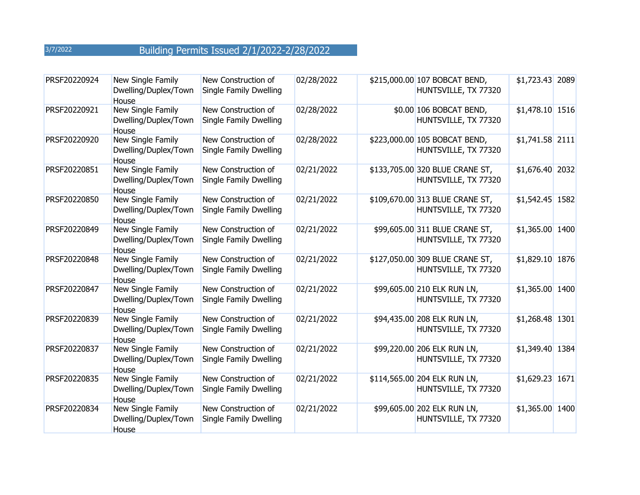| PRSF20220924 | New Single Family<br>Dwelling/Duplex/Town<br>House | New Construction of<br>Single Family Dwelling | 02/28/2022 | \$215,000.00 107 BOBCAT BEND,<br>HUNTSVILLE, TX 77320   | \$1,723.43 2089 |  |
|--------------|----------------------------------------------------|-----------------------------------------------|------------|---------------------------------------------------------|-----------------|--|
| PRSF20220921 | New Single Family<br>Dwelling/Duplex/Town<br>House | New Construction of<br>Single Family Dwelling | 02/28/2022 | \$0.00 106 BOBCAT BEND,<br>HUNTSVILLE, TX 77320         | \$1,478.10 1516 |  |
| PRSF20220920 | New Single Family<br>Dwelling/Duplex/Town<br>House | New Construction of<br>Single Family Dwelling | 02/28/2022 | \$223,000.00 105 BOBCAT BEND,<br>HUNTSVILLE, TX 77320   | \$1,741.58 2111 |  |
| PRSF20220851 | New Single Family<br>Dwelling/Duplex/Town<br>House | New Construction of<br>Single Family Dwelling | 02/21/2022 | \$133,705.00 320 BLUE CRANE ST,<br>HUNTSVILLE, TX 77320 | \$1,676.40 2032 |  |
| PRSF20220850 | New Single Family<br>Dwelling/Duplex/Town<br>House | New Construction of<br>Single Family Dwelling | 02/21/2022 | \$109,670.00 313 BLUE CRANE ST,<br>HUNTSVILLE, TX 77320 | \$1,542.45 1582 |  |
| PRSF20220849 | New Single Family<br>Dwelling/Duplex/Town<br>House | New Construction of<br>Single Family Dwelling | 02/21/2022 | \$99,605.00 311 BLUE CRANE ST,<br>HUNTSVILLE, TX 77320  | \$1,365.00 1400 |  |
| PRSF20220848 | New Single Family<br>Dwelling/Duplex/Town<br>House | New Construction of<br>Single Family Dwelling | 02/21/2022 | \$127,050.00 309 BLUE CRANE ST,<br>HUNTSVILLE, TX 77320 | \$1,829.10 1876 |  |
| PRSF20220847 | New Single Family<br>Dwelling/Duplex/Town<br>House | New Construction of<br>Single Family Dwelling | 02/21/2022 | \$99,605.00 210 ELK RUN LN,<br>HUNTSVILLE, TX 77320     | \$1,365.00 1400 |  |
| PRSF20220839 | New Single Family<br>Dwelling/Duplex/Town<br>House | New Construction of<br>Single Family Dwelling | 02/21/2022 | \$94,435.00 208 ELK RUN LN,<br>HUNTSVILLE, TX 77320     | \$1,268.48 1301 |  |
| PRSF20220837 | New Single Family<br>Dwelling/Duplex/Town<br>House | New Construction of<br>Single Family Dwelling | 02/21/2022 | \$99,220.00 206 ELK RUN LN,<br>HUNTSVILLE, TX 77320     | \$1,349.40 1384 |  |
| PRSF20220835 | New Single Family<br>Dwelling/Duplex/Town<br>House | New Construction of<br>Single Family Dwelling | 02/21/2022 | \$114,565.00 204 ELK RUN LN,<br>HUNTSVILLE, TX 77320    | \$1,629.23 1671 |  |
| PRSF20220834 | New Single Family<br>Dwelling/Duplex/Town<br>House | New Construction of<br>Single Family Dwelling | 02/21/2022 | \$99,605.00 202 ELK RUN LN,<br>HUNTSVILLE, TX 77320     | \$1,365.00 1400 |  |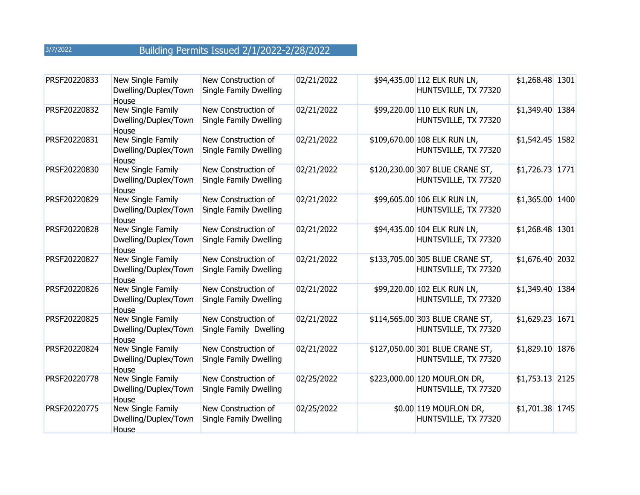| PRSF20220833 | New Single Family<br>Dwelling/Duplex/Town<br>House | New Construction of<br>Single Family Dwelling | 02/21/2022 | \$94,435.00 112 ELK RUN LN,<br>HUNTSVILLE, TX 77320     | \$1,268.48 1301  |  |
|--------------|----------------------------------------------------|-----------------------------------------------|------------|---------------------------------------------------------|------------------|--|
| PRSF20220832 | New Single Family<br>Dwelling/Duplex/Town<br>House | New Construction of<br>Single Family Dwelling | 02/21/2022 | \$99,220.00 110 ELK RUN LN,<br>HUNTSVILLE, TX 77320     | \$1,349.40 1384  |  |
| PRSF20220831 | New Single Family<br>Dwelling/Duplex/Town<br>House | New Construction of<br>Single Family Dwelling | 02/21/2022 | \$109,670.00 108 ELK RUN LN,<br>HUNTSVILLE, TX 77320    | $$1,542.45$ 1582 |  |
| PRSF20220830 | New Single Family<br>Dwelling/Duplex/Town<br>House | New Construction of<br>Single Family Dwelling | 02/21/2022 | \$120,230.00 307 BLUE CRANE ST,<br>HUNTSVILLE, TX 77320 | \$1,726.73 1771  |  |
| PRSF20220829 | New Single Family<br>Dwelling/Duplex/Town<br>House | New Construction of<br>Single Family Dwelling | 02/21/2022 | \$99,605.00 106 ELK RUN LN,<br>HUNTSVILLE, TX 77320     | \$1,365.00 1400  |  |
| PRSF20220828 | New Single Family<br>Dwelling/Duplex/Town<br>House | New Construction of<br>Single Family Dwelling | 02/21/2022 | \$94,435.00 104 ELK RUN LN,<br>HUNTSVILLE, TX 77320     | \$1,268.48 1301  |  |
| PRSF20220827 | New Single Family<br>Dwelling/Duplex/Town<br>House | New Construction of<br>Single Family Dwelling | 02/21/2022 | \$133,705.00 305 BLUE CRANE ST,<br>HUNTSVILLE, TX 77320 | \$1,676.40 2032  |  |
| PRSF20220826 | New Single Family<br>Dwelling/Duplex/Town<br>House | New Construction of<br>Single Family Dwelling | 02/21/2022 | \$99,220.00 102 ELK RUN LN,<br>HUNTSVILLE, TX 77320     | \$1,349.40 1384  |  |
| PRSF20220825 | New Single Family<br>Dwelling/Duplex/Town<br>House | New Construction of<br>Single Family Dwelling | 02/21/2022 | \$114,565.00 303 BLUE CRANE ST,<br>HUNTSVILLE, TX 77320 | \$1,629.23 1671  |  |
| PRSF20220824 | New Single Family<br>Dwelling/Duplex/Town<br>House | New Construction of<br>Single Family Dwelling | 02/21/2022 | \$127,050.00 301 BLUE CRANE ST,<br>HUNTSVILLE, TX 77320 | \$1,829.10 1876  |  |
| PRSF20220778 | New Single Family<br>Dwelling/Duplex/Town<br>House | New Construction of<br>Single Family Dwelling | 02/25/2022 | \$223,000.00 120 MOUFLON DR,<br>HUNTSVILLE, TX 77320    | $$1,753.13$ 2125 |  |
| PRSF20220775 | New Single Family<br>Dwelling/Duplex/Town<br>House | New Construction of<br>Single Family Dwelling | 02/25/2022 | \$0.00 119 MOUFLON DR,<br>HUNTSVILLE, TX 77320          | \$1,701.38 1745  |  |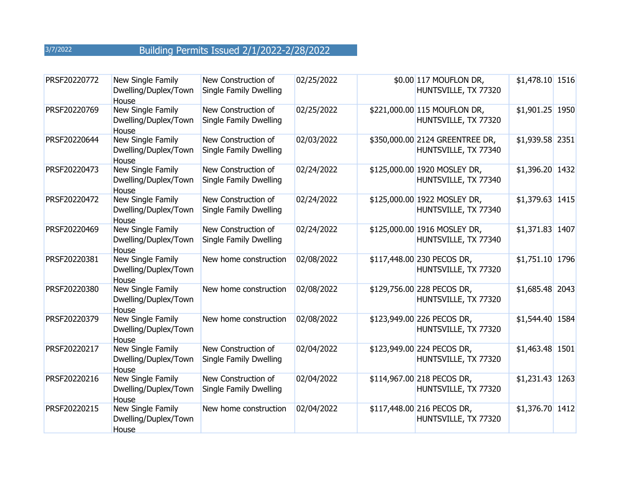| PRSF20220772 | New Single Family<br>Dwelling/Duplex/Town<br>House | New Construction of<br>Single Family Dwelling | 02/25/2022 | \$0.00 117 MOUFLON DR,<br>HUNTSVILLE, TX 77320          | $$1,478.10$ 1516 |  |
|--------------|----------------------------------------------------|-----------------------------------------------|------------|---------------------------------------------------------|------------------|--|
| PRSF20220769 | New Single Family<br>Dwelling/Duplex/Town<br>House | New Construction of<br>Single Family Dwelling | 02/25/2022 | \$221,000.00 115 MOUFLON DR,<br>HUNTSVILLE, TX 77320    | \$1,901.25 1950  |  |
| PRSF20220644 | New Single Family<br>Dwelling/Duplex/Town<br>House | New Construction of<br>Single Family Dwelling | 02/03/2022 | \$350,000.00 2124 GREENTREE DR,<br>HUNTSVILLE, TX 77340 | \$1,939.58 2351  |  |
| PRSF20220473 | New Single Family<br>Dwelling/Duplex/Town<br>House | New Construction of<br>Single Family Dwelling | 02/24/2022 | \$125,000.00 1920 MOSLEY DR,<br>HUNTSVILLE, TX 77340    | \$1,396.20 1432  |  |
| PRSF20220472 | New Single Family<br>Dwelling/Duplex/Town<br>House | New Construction of<br>Single Family Dwelling | 02/24/2022 | \$125,000.00 1922 MOSLEY DR,<br>HUNTSVILLE, TX 77340    | \$1,379.63 1415  |  |
| PRSF20220469 | New Single Family<br>Dwelling/Duplex/Town<br>House | New Construction of<br>Single Family Dwelling | 02/24/2022 | \$125,000.00 1916 MOSLEY DR,<br>HUNTSVILLE, TX 77340    | \$1,371.83 1407  |  |
| PRSF20220381 | New Single Family<br>Dwelling/Duplex/Town<br>House | New home construction                         | 02/08/2022 | \$117,448.00 230 PECOS DR,<br>HUNTSVILLE, TX 77320      | \$1,751.10 1796  |  |
| PRSF20220380 | New Single Family<br>Dwelling/Duplex/Town<br>House | New home construction                         | 02/08/2022 | \$129,756.00 228 PECOS DR,<br>HUNTSVILLE, TX 77320      | $$1,685.48$ 2043 |  |
| PRSF20220379 | New Single Family<br>Dwelling/Duplex/Town<br>House | New home construction                         | 02/08/2022 | \$123,949.00 226 PECOS DR,<br>HUNTSVILLE, TX 77320      | \$1,544.40 1584  |  |
| PRSF20220217 | New Single Family<br>Dwelling/Duplex/Town<br>House | New Construction of<br>Single Family Dwelling | 02/04/2022 | \$123,949.00 224 PECOS DR,<br>HUNTSVILLE, TX 77320      | \$1,463.48 1501  |  |
| PRSF20220216 | New Single Family<br>Dwelling/Duplex/Town<br>House | New Construction of<br>Single Family Dwelling | 02/04/2022 | \$114,967.00 218 PECOS DR,<br>HUNTSVILLE, TX 77320      | \$1,231.43 1263  |  |
| PRSF20220215 | New Single Family<br>Dwelling/Duplex/Town<br>House | New home construction                         | 02/04/2022 | \$117,448.00 216 PECOS DR,<br>HUNTSVILLE, TX 77320      | \$1,376.70 1412  |  |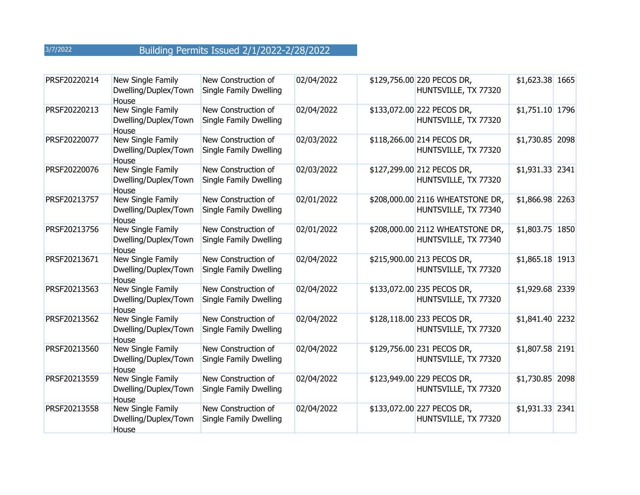| PRSF20220214 | New Single Family<br>Dwelling/Duplex/Town<br>House | New Construction of<br>Single Family Dwelling | 02/04/2022 | \$129,756.00 220 PECOS DR,<br>HUNTSVILLE, TX 77320       | \$1,623.38 1665  |  |
|--------------|----------------------------------------------------|-----------------------------------------------|------------|----------------------------------------------------------|------------------|--|
| PRSF20220213 | New Single Family<br>Dwelling/Duplex/Town<br>House | New Construction of<br>Single Family Dwelling | 02/04/2022 | \$133,072.00 222 PECOS DR,<br>HUNTSVILLE, TX 77320       | \$1,751.10 1796  |  |
| PRSF20220077 | New Single Family<br>Dwelling/Duplex/Town<br>House | New Construction of<br>Single Family Dwelling | 02/03/2022 | \$118,266.00 214 PECOS DR,<br>HUNTSVILLE, TX 77320       | $$1,730.85$ 2098 |  |
| PRSF20220076 | New Single Family<br>Dwelling/Duplex/Town<br>House | New Construction of<br>Single Family Dwelling | 02/03/2022 | \$127,299.00 212 PECOS DR,<br>HUNTSVILLE, TX 77320       | $$1,931.33$ 2341 |  |
| PRSF20213757 | New Single Family<br>Dwelling/Duplex/Town<br>House | New Construction of<br>Single Family Dwelling | 02/01/2022 | \$208,000.00 2116 WHEATSTONE DR,<br>HUNTSVILLE, TX 77340 | \$1,866.98 2263  |  |
| PRSF20213756 | New Single Family<br>Dwelling/Duplex/Town<br>House | New Construction of<br>Single Family Dwelling | 02/01/2022 | \$208,000.00 2112 WHEATSTONE DR,<br>HUNTSVILLE, TX 77340 | \$1,803.75 1850  |  |
| PRSF20213671 | New Single Family<br>Dwelling/Duplex/Town<br>House | New Construction of<br>Single Family Dwelling | 02/04/2022 | \$215,900.00 213 PECOS DR,<br>HUNTSVILLE, TX 77320       | $$1,865.18$ 1913 |  |
| PRSF20213563 | New Single Family<br>Dwelling/Duplex/Town<br>House | New Construction of<br>Single Family Dwelling | 02/04/2022 | \$133,072.00 235 PECOS DR,<br>HUNTSVILLE, TX 77320       | \$1,929.68 2339  |  |
| PRSF20213562 | New Single Family<br>Dwelling/Duplex/Town<br>House | New Construction of<br>Single Family Dwelling | 02/04/2022 | \$128,118.00 233 PECOS DR,<br>HUNTSVILLE, TX 77320       | \$1,841.40 2232  |  |
| PRSF20213560 | New Single Family<br>Dwelling/Duplex/Town<br>House | New Construction of<br>Single Family Dwelling | 02/04/2022 | \$129,756.00 231 PECOS DR,<br>HUNTSVILLE, TX 77320       | \$1,807.58 2191  |  |
| PRSF20213559 | New Single Family<br>Dwelling/Duplex/Town<br>House | New Construction of<br>Single Family Dwelling | 02/04/2022 | \$123,949.00 229 PECOS DR,<br>HUNTSVILLE, TX 77320       | \$1,730.85 2098  |  |
| PRSF20213558 | New Single Family<br>Dwelling/Duplex/Town<br>House | New Construction of<br>Single Family Dwelling | 02/04/2022 | \$133,072.00 227 PECOS DR,<br>HUNTSVILLE, TX 77320       | \$1,931.33 2341  |  |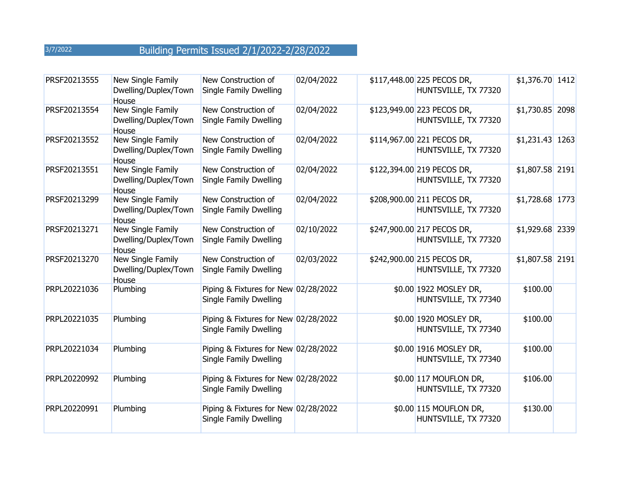| PRSF20213555 | New Single Family<br>Dwelling/Duplex/Town<br>House        | New Construction of<br>Single Family Dwelling                  | 02/04/2022 | \$117,448.00 225 PECOS DR,<br>HUNTSVILLE, TX 77320 | $$1,376.70$ 1412 |  |
|--------------|-----------------------------------------------------------|----------------------------------------------------------------|------------|----------------------------------------------------|------------------|--|
| PRSF20213554 | New Single Family<br>Dwelling/Duplex/Town<br>House        | New Construction of<br>Single Family Dwelling                  | 02/04/2022 | \$123,949.00 223 PECOS DR,<br>HUNTSVILLE, TX 77320 | \$1,730.85 2098  |  |
| PRSF20213552 | New Single Family<br>Dwelling/Duplex/Town<br>House        | New Construction of<br>Single Family Dwelling                  | 02/04/2022 | \$114,967.00 221 PECOS DR,<br>HUNTSVILLE, TX 77320 | $$1,231.43$ 1263 |  |
| PRSF20213551 | New Single Family<br>Dwelling/Duplex/Town<br>House        | New Construction of<br>Single Family Dwelling                  | 02/04/2022 | \$122,394.00 219 PECOS DR,<br>HUNTSVILLE, TX 77320 | \$1,807.58 2191  |  |
| PRSF20213299 | New Single Family<br>Dwelling/Duplex/Town<br><b>House</b> | New Construction of<br>Single Family Dwelling                  | 02/04/2022 | \$208,900.00 211 PECOS DR,<br>HUNTSVILLE, TX 77320 | \$1,728.68 1773  |  |
| PRSF20213271 | New Single Family<br>Dwelling/Duplex/Town<br>House        | New Construction of<br>Single Family Dwelling                  | 02/10/2022 | \$247,900.00 217 PECOS DR,<br>HUNTSVILLE, TX 77320 | \$1,929.68 2339  |  |
| PRSF20213270 | New Single Family<br>Dwelling/Duplex/Town<br>House        | New Construction of<br>Single Family Dwelling                  | 02/03/2022 | \$242,900.00 215 PECOS DR,<br>HUNTSVILLE, TX 77320 | \$1,807.58 2191  |  |
| PRPL20221036 | Plumbing                                                  | Piping & Fixtures for New 02/28/2022<br>Single Family Dwelling |            | \$0.00 1922 MOSLEY DR,<br>HUNTSVILLE, TX 77340     | \$100.00         |  |
| PRPL20221035 | Plumbing                                                  | Piping & Fixtures for New 02/28/2022<br>Single Family Dwelling |            | \$0.00 1920 MOSLEY DR,<br>HUNTSVILLE, TX 77340     | \$100.00         |  |
| PRPL20221034 | Plumbing                                                  | Piping & Fixtures for New 02/28/2022<br>Single Family Dwelling |            | \$0.00 1916 MOSLEY DR,<br>HUNTSVILLE, TX 77340     | \$100.00         |  |
| PRPL20220992 | Plumbing                                                  | Piping & Fixtures for New 02/28/2022<br>Single Family Dwelling |            | \$0.00 117 MOUFLON DR,<br>HUNTSVILLE, TX 77320     | \$106.00         |  |
| PRPL20220991 | Plumbing                                                  | Piping & Fixtures for New 02/28/2022<br>Single Family Dwelling |            | \$0.00 115 MOUFLON DR,<br>HUNTSVILLE, TX 77320     | \$130.00         |  |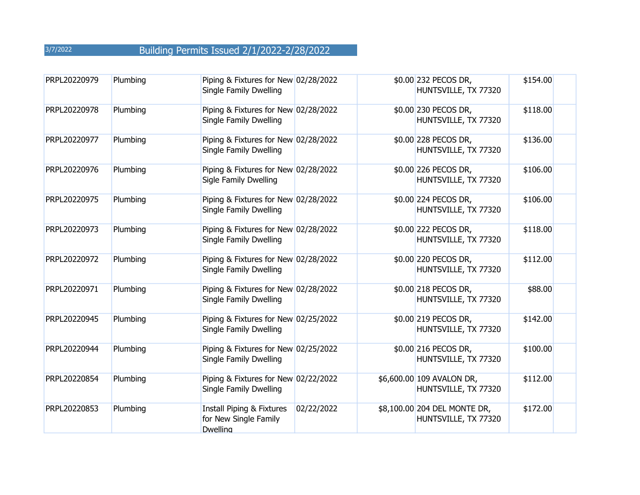| PRPL20220979 | Plumbing | Piping & Fixtures for New 02/28/2022<br>Single Family Dwelling                   |            | \$0.00 232 PECOS DR,<br>HUNTSVILLE, TX 77320         | \$154.00 |
|--------------|----------|----------------------------------------------------------------------------------|------------|------------------------------------------------------|----------|
| PRPL20220978 | Plumbing | Piping & Fixtures for New 02/28/2022<br>Single Family Dwelling                   |            | \$0.00 230 PECOS DR,<br>HUNTSVILLE, TX 77320         | \$118.00 |
| PRPL20220977 | Plumbing | Piping & Fixtures for New 02/28/2022<br>Single Family Dwelling                   |            | \$0.00 228 PECOS DR,<br>HUNTSVILLE, TX 77320         | \$136.00 |
| PRPL20220976 | Plumbing | Piping & Fixtures for New 02/28/2022<br>Sigle Family Dwelling                    |            | \$0.00 226 PECOS DR,<br>HUNTSVILLE, TX 77320         | \$106.00 |
| PRPL20220975 | Plumbing | Piping & Fixtures for New 02/28/2022<br>Single Family Dwelling                   |            | \$0.00 224 PECOS DR,<br>HUNTSVILLE, TX 77320         | \$106.00 |
| PRPL20220973 | Plumbing | Piping & Fixtures for New 02/28/2022<br>Single Family Dwelling                   |            | \$0.00 222 PECOS DR,<br>HUNTSVILLE, TX 77320         | \$118.00 |
| PRPL20220972 | Plumbing | Piping & Fixtures for New 02/28/2022<br>Single Family Dwelling                   |            | \$0.00 220 PECOS DR,<br>HUNTSVILLE, TX 77320         | \$112.00 |
| PRPL20220971 | Plumbing | Piping & Fixtures for New 02/28/2022<br>Single Family Dwelling                   |            | \$0.00 218 PECOS DR,<br>HUNTSVILLE, TX 77320         | \$88.00  |
| PRPL20220945 | Plumbing | Piping & Fixtures for New 02/25/2022<br>Single Family Dwelling                   |            | \$0.00 219 PECOS DR,<br>HUNTSVILLE, TX 77320         | \$142.00 |
| PRPL20220944 | Plumbing | Piping & Fixtures for New 02/25/2022<br>Single Family Dwelling                   |            | \$0.00 216 PECOS DR,<br>HUNTSVILLE, TX 77320         | \$100.00 |
| PRPL20220854 | Plumbing | Piping & Fixtures for New 02/22/2022<br>Single Family Dwelling                   |            | \$6,600.00 109 AVALON DR,<br>HUNTSVILLE, TX 77320    | \$112.00 |
| PRPL20220853 | Plumbing | <b>Install Piping &amp; Fixtures</b><br>for New Single Family<br><b>Dwelling</b> | 02/22/2022 | \$8,100.00 204 DEL MONTE DR,<br>HUNTSVILLE, TX 77320 | \$172.00 |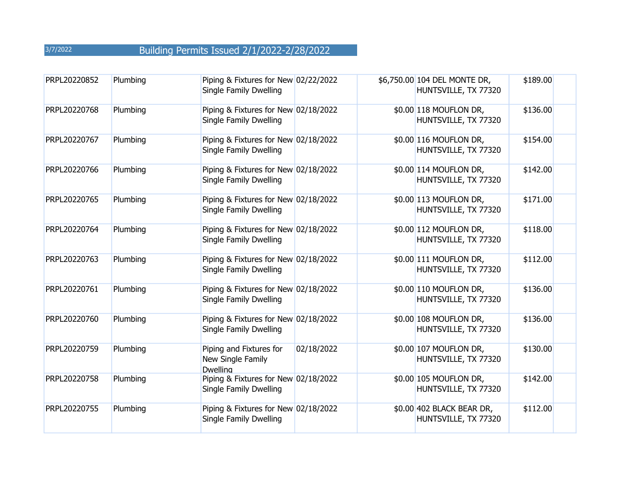| PRPL20220852 | Plumbing | Piping & Fixtures for New 02/22/2022<br>Single Family Dwelling  |            | \$6,750.00 104 DEL MONTE DR,<br>HUNTSVILLE, TX 77320 | \$189.00 |
|--------------|----------|-----------------------------------------------------------------|------------|------------------------------------------------------|----------|
| PRPL20220768 | Plumbing | Piping & Fixtures for New 02/18/2022<br>Single Family Dwelling  |            | \$0.00 118 MOUFLON DR,<br>HUNTSVILLE, TX 77320       | \$136.00 |
| PRPL20220767 | Plumbing | Piping & Fixtures for New 02/18/2022<br>Single Family Dwelling  |            | \$0.00 116 MOUFLON DR,<br>HUNTSVILLE, TX 77320       | \$154.00 |
| PRPL20220766 | Plumbing | Piping & Fixtures for New 02/18/2022<br>Single Family Dwelling  |            | \$0.00 114 MOUFLON DR,<br>HUNTSVILLE, TX 77320       | \$142.00 |
| PRPL20220765 | Plumbing | Piping & Fixtures for New 02/18/2022<br>Single Family Dwelling  |            | \$0.00 113 MOUFLON DR,<br>HUNTSVILLE, TX 77320       | \$171.00 |
| PRPL20220764 | Plumbing | Piping & Fixtures for New 02/18/2022<br>Single Family Dwelling  |            | \$0.00 112 MOUFLON DR,<br>HUNTSVILLE, TX 77320       | \$118.00 |
| PRPL20220763 | Plumbing | Piping & Fixtures for New 02/18/2022<br>Single Family Dwelling  |            | \$0.00 111 MOUFLON DR,<br>HUNTSVILLE, TX 77320       | \$112.00 |
| PRPL20220761 | Plumbing | Piping & Fixtures for New 02/18/2022<br>Single Family Dwelling  |            | \$0.00 110 MOUFLON DR,<br>HUNTSVILLE, TX 77320       | \$136.00 |
| PRPL20220760 | Plumbing | Piping & Fixtures for New 02/18/2022<br>Single Family Dwelling  |            | \$0.00 108 MOUFLON DR,<br>HUNTSVILLE, TX 77320       | \$136.00 |
| PRPL20220759 | Plumbing | Piping and Fixtures for<br>New Single Family<br><b>Dwelling</b> | 02/18/2022 | \$0.00 107 MOUFLON DR,<br>HUNTSVILLE, TX 77320       | \$130.00 |
| PRPL20220758 | Plumbing | Piping & Fixtures for New 02/18/2022<br>Single Family Dwelling  |            | \$0.00 105 MOUFLON DR,<br>HUNTSVILLE, TX 77320       | \$142.00 |
| PRPL20220755 | Plumbing | Piping & Fixtures for New 02/18/2022<br>Single Family Dwelling  |            | \$0.00 402 BLACK BEAR DR,<br>HUNTSVILLE, TX 77320    | \$112.00 |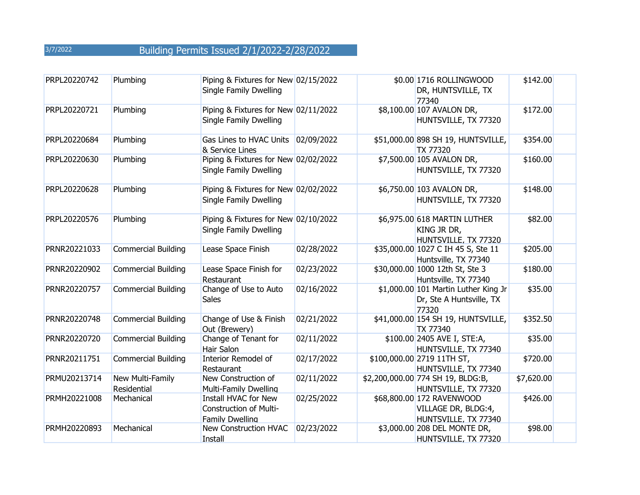| PRPL20220742 | Plumbing                        | Piping & Fixtures for New 02/15/2022<br>Single Family Dwelling                  |            | \$0.00 1716 ROLLINGWOOD<br>DR, HUNTSVILLE, TX<br>77340                    | \$142.00   |
|--------------|---------------------------------|---------------------------------------------------------------------------------|------------|---------------------------------------------------------------------------|------------|
| PRPL20220721 | Plumbing                        | Piping & Fixtures for New 02/11/2022<br>Single Family Dwelling                  |            | \$8,100.00 107 AVALON DR,<br>HUNTSVILLE, TX 77320                         | \$172.00   |
| PRPL20220684 | Plumbing                        | Gas Lines to HVAC Units<br>& Service Lines                                      | 02/09/2022 | \$51,000.00 898 SH 19, HUNTSVILLE,<br>TX 77320                            | \$354.00   |
| PRPL20220630 | Plumbing                        | Piping & Fixtures for New 02/02/2022<br>Single Family Dwelling                  |            | \$7,500.00 105 AVALON DR,<br>HUNTSVILLE, TX 77320                         | \$160.00   |
| PRPL20220628 | Plumbing                        | Piping & Fixtures for New 02/02/2022<br>Single Family Dwelling                  |            | \$6,750.00 103 AVALON DR,<br>HUNTSVILLE, TX 77320                         | \$148.00   |
| PRPL20220576 | Plumbing                        | Piping & Fixtures for New 02/10/2022<br>Single Family Dwelling                  |            | \$6,975.00 618 MARTIN LUTHER<br>KING JR DR,<br>HUNTSVILLE, TX 77320       | \$82.00    |
| PRNR20221033 | <b>Commercial Building</b>      | Lease Space Finish                                                              | 02/28/2022 | \$35,000.00 1027 C IH 45 S, Ste 11<br>Huntsville, TX 77340                | \$205.00   |
| PRNR20220902 | <b>Commercial Building</b>      | Lease Space Finish for<br>Restaurant                                            | 02/23/2022 | \$30,000.00 1000 12th St, Ste 3<br>Huntsville, TX 77340                   | \$180.00   |
| PRNR20220757 | <b>Commercial Building</b>      | Change of Use to Auto<br><b>Sales</b>                                           | 02/16/2022 | \$1,000.00 101 Martin Luther King Jr<br>Dr, Ste A Huntsville, TX<br>77320 | \$35.00    |
| PRNR20220748 | <b>Commercial Building</b>      | Change of Use & Finish<br>Out (Brewery)                                         | 02/21/2022 | \$41,000.00 154 SH 19, HUNTSVILLE,<br>TX 77340                            | \$352.50   |
| PRNR20220720 | <b>Commercial Building</b>      | Change of Tenant for<br><b>Hair Salon</b>                                       | 02/11/2022 | \$100.00 2405 AVE I, STE:A,<br>HUNTSVILLE, TX 77340                       | \$35.00    |
| PRNR20211751 | <b>Commercial Building</b>      | <b>Interior Remodel of</b><br>Restaurant                                        | 02/17/2022 | \$100,000.00 2719 11TH ST,<br>HUNTSVILLE, TX 77340                        | \$720.00   |
| PRMU20213714 | New Multi-Family<br>Residential | New Construction of<br><b>Multi-Family Dwelling</b>                             | 02/11/2022 | \$2,200,000.00 774 SH 19, BLDG:B,<br>HUNTSVILLE, TX 77320                 | \$7,620.00 |
| PRMH20221008 | Mechanical                      | Install HVAC for New<br><b>Construction of Multi-</b><br><b>Family Dwelling</b> | 02/25/2022 | \$68,800.00 172 RAVENWOOD<br>VILLAGE DR, BLDG:4,<br>HUNTSVILLE, TX 77340  | \$426.00   |
| PRMH20220893 | Mechanical                      | New Construction HVAC<br>Install                                                | 02/23/2022 | \$3,000.00 208 DEL MONTE DR,<br>HUNTSVILLE, TX 77320                      | \$98.00    |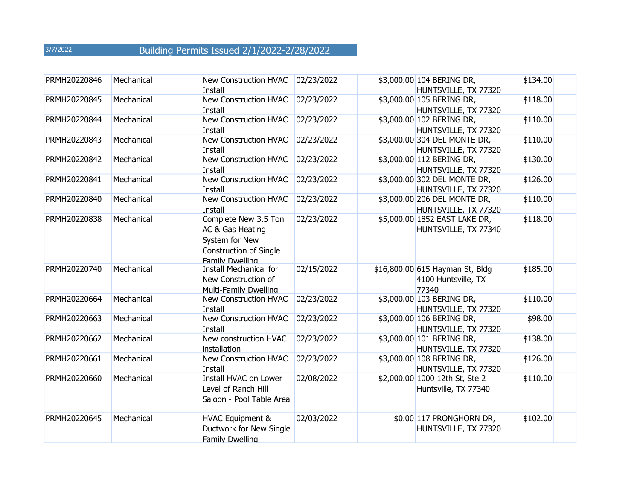| PRMH20220846 | Mechanical | New Construction HVAC<br>Install                                                                                      | 02/23/2022 | \$3,000.00 104 BERING DR,<br>HUNTSVILLE, TX 77320               | \$134.00 |
|--------------|------------|-----------------------------------------------------------------------------------------------------------------------|------------|-----------------------------------------------------------------|----------|
| PRMH20220845 | Mechanical | New Construction HVAC<br>Install                                                                                      | 02/23/2022 | \$3,000.00 105 BERING DR,<br>HUNTSVILLE, TX 77320               | \$118.00 |
| PRMH20220844 | Mechanical | New Construction HVAC<br><b>Install</b>                                                                               | 02/23/2022 | \$3,000.00 102 BERING DR,<br>HUNTSVILLE, TX 77320               | \$110.00 |
| PRMH20220843 | Mechanical | New Construction HVAC<br>Install                                                                                      | 02/23/2022 | \$3,000.00 304 DEL MONTE DR,<br>HUNTSVILLE, TX 77320            | \$110.00 |
| PRMH20220842 | Mechanical | New Construction HVAC<br>Install                                                                                      | 02/23/2022 | \$3,000.00 112 BERING DR,<br>HUNTSVILLE, TX 77320               | \$130.00 |
| PRMH20220841 | Mechanical | New Construction HVAC<br>Install                                                                                      | 02/23/2022 | \$3,000.00 302 DEL MONTE DR,<br>HUNTSVILLE, TX 77320            | \$126.00 |
| PRMH20220840 | Mechanical | New Construction HVAC<br>Install                                                                                      | 02/23/2022 | \$3,000.00 206 DEL MONTE DR,<br>HUNTSVILLE, TX 77320            | \$110.00 |
| PRMH20220838 | Mechanical | Complete New 3.5 Ton<br>AC & Gas Heating<br>System for New<br><b>Construction of Single</b><br><b>Family Dwelling</b> | 02/23/2022 | \$5,000.00 1852 EAST LAKE DR,<br>HUNTSVILLE, TX 77340           | \$118.00 |
| PRMH20220740 | Mechanical | <b>Install Mechanical for</b><br>New Construction of<br>Multi-Family Dwelling                                         | 02/15/2022 | \$16,800.00 615 Hayman St, Bldg<br>4100 Huntsville, TX<br>77340 | \$185.00 |
| PRMH20220664 | Mechanical | New Construction HVAC<br>Install                                                                                      | 02/23/2022 | \$3,000.00 103 BERING DR,<br>HUNTSVILLE, TX 77320               | \$110.00 |
| PRMH20220663 | Mechanical | <b>New Construction HVAC</b><br>Install                                                                               | 02/23/2022 | \$3,000.00 106 BERING DR,<br>HUNTSVILLE, TX 77320               | \$98.00  |
| PRMH20220662 | Mechanical | New construction HVAC<br>installation                                                                                 | 02/23/2022 | \$3,000.00 101 BERING DR,<br>HUNTSVILLE, TX 77320               | \$138.00 |
| PRMH20220661 | Mechanical | New Construction HVAC<br>Install                                                                                      | 02/23/2022 | \$3,000.00 108 BERING DR,<br>HUNTSVILLE, TX 77320               | \$126.00 |
| PRMH20220660 | Mechanical | Install HVAC on Lower<br>Level of Ranch Hill<br>Saloon - Pool Table Area                                              | 02/08/2022 | \$2,000.00 1000 12th St, Ste 2<br>Huntsville, TX 77340          | \$110.00 |
| PRMH20220645 | Mechanical | <b>HVAC Equipment &amp;</b><br>Ductwork for New Single<br>Family Dwelling                                             | 02/03/2022 | \$0.00 117 PRONGHORN DR,<br>HUNTSVILLE, TX 77320                | \$102.00 |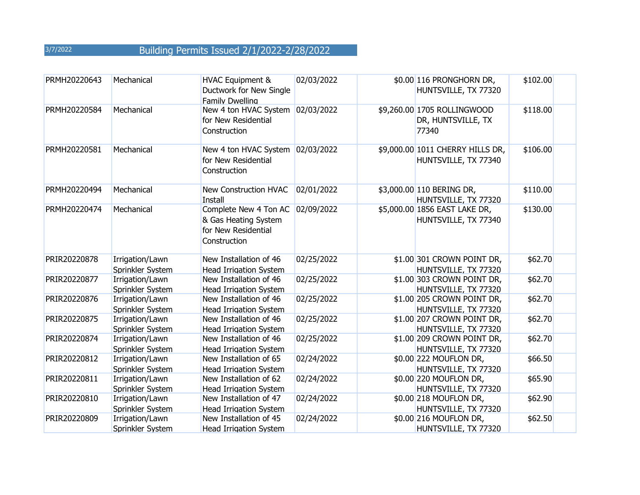| PRMH20220643 | Mechanical                          | <b>HVAC Equipment &amp;</b><br>Ductwork for New Single<br>Family Dwelling            | 02/03/2022 | \$0.00 116 PRONGHORN DR,<br>HUNTSVILLE, TX 77320           | \$102.00 |
|--------------|-------------------------------------|--------------------------------------------------------------------------------------|------------|------------------------------------------------------------|----------|
| PRMH20220584 | Mechanical                          | New 4 ton HVAC System<br>for New Residential<br>Construction                         | 02/03/2022 | \$9,260.00 1705 ROLLINGWOOD<br>DR, HUNTSVILLE, TX<br>77340 | \$118.00 |
| PRMH20220581 | Mechanical                          | New 4 ton HVAC System<br>for New Residential<br>Construction                         | 02/03/2022 | \$9,000.00 1011 CHERRY HILLS DR,<br>HUNTSVILLE, TX 77340   | \$106.00 |
| PRMH20220494 | Mechanical                          | <b>New Construction HVAC</b><br><b>Install</b>                                       | 02/01/2022 | \$3,000.00 110 BERING DR,<br>HUNTSVILLE, TX 77320          | \$110.00 |
| PRMH20220474 | Mechanical                          | Complete New 4 Ton AC<br>& Gas Heating System<br>for New Residential<br>Construction | 02/09/2022 | \$5,000.00 1856 EAST LAKE DR,<br>HUNTSVILLE, TX 77340      | \$130.00 |
| PRIR20220878 | Irrigation/Lawn<br>Sprinkler System | New Installation of 46<br><b>Head Irrigation System</b>                              | 02/25/2022 | \$1.00 301 CROWN POINT DR,<br>HUNTSVILLE, TX 77320         | \$62.70  |
| PRIR20220877 | Irrigation/Lawn<br>Sprinkler System | New Installation of 46<br><b>Head Irrigation System</b>                              | 02/25/2022 | \$1.00 303 CROWN POINT DR,<br>HUNTSVILLE, TX 77320         | \$62.70  |
| PRIR20220876 | Irrigation/Lawn<br>Sprinkler System | New Installation of 46<br><b>Head Irrigation System</b>                              | 02/25/2022 | \$1.00 205 CROWN POINT DR,<br>HUNTSVILLE, TX 77320         | \$62.70  |
| PRIR20220875 | Irrigation/Lawn<br>Sprinkler System | New Installation of 46<br><b>Head Irrigation System</b>                              | 02/25/2022 | \$1.00 207 CROWN POINT DR,<br>HUNTSVILLE, TX 77320         | \$62.70  |
| PRIR20220874 | Irrigation/Lawn<br>Sprinkler System | New Installation of 46<br><b>Head Irrigation System</b>                              | 02/25/2022 | \$1.00 209 CROWN POINT DR,<br>HUNTSVILLE, TX 77320         | \$62.70  |
| PRIR20220812 | Irrigation/Lawn<br>Sprinkler System | New Installation of 65<br><b>Head Irrigation System</b>                              | 02/24/2022 | \$0.00 222 MOUFLON DR,<br>HUNTSVILLE, TX 77320             | \$66.50  |
| PRIR20220811 | Irrigation/Lawn<br>Sprinkler System | New Installation of 62<br><b>Head Irrigation System</b>                              | 02/24/2022 | \$0.00 220 MOUFLON DR,<br>HUNTSVILLE, TX 77320             | \$65.90  |
| PRIR20220810 | Irrigation/Lawn<br>Sprinkler System | New Installation of 47<br><b>Head Irrigation System</b>                              | 02/24/2022 | \$0.00 218 MOUFLON DR,<br>HUNTSVILLE, TX 77320             | \$62.90  |
| PRIR20220809 | Irrigation/Lawn<br>Sprinkler System | New Installation of 45<br><b>Head Irrigation System</b>                              | 02/24/2022 | \$0.00 216 MOUFLON DR,<br>HUNTSVILLE, TX 77320             | \$62.50  |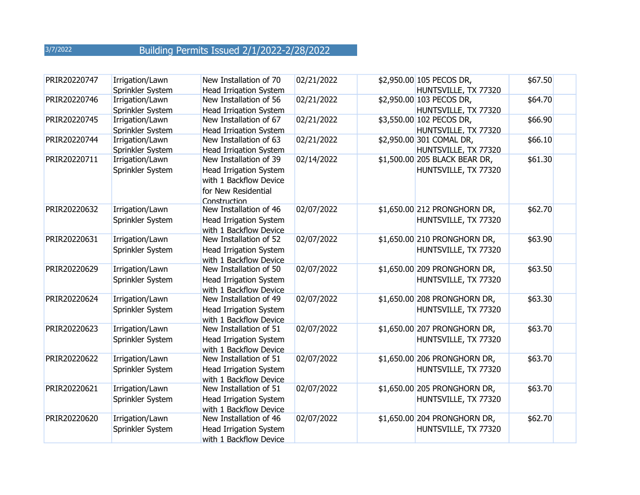| PRIR20220747 | Irrigation/Lawn<br>Sprinkler System | New Installation of 70<br><b>Head Irrigation System</b>                                                           | 02/21/2022 | \$2,950.00 105 PECOS DR,<br>HUNTSVILLE, TX 77320      | \$67.50 |
|--------------|-------------------------------------|-------------------------------------------------------------------------------------------------------------------|------------|-------------------------------------------------------|---------|
| PRIR20220746 | Irrigation/Lawn<br>Sprinkler System | New Installation of 56<br><b>Head Irrigation System</b>                                                           | 02/21/2022 | \$2,950.00 103 PECOS DR,<br>HUNTSVILLE, TX 77320      | \$64.70 |
| PRIR20220745 | Irrigation/Lawn<br>Sprinkler System | New Installation of 67<br><b>Head Irrigation System</b>                                                           | 02/21/2022 | \$3,550.00 102 PECOS DR,<br>HUNTSVILLE, TX 77320      | \$66.90 |
| PRIR20220744 | Irrigation/Lawn<br>Sprinkler System | New Installation of 63<br><b>Head Irrigation System</b>                                                           | 02/21/2022 | \$2,950.00 301 COMAL DR,<br>HUNTSVILLE, TX 77320      | \$66.10 |
| PRIR20220711 | Irrigation/Lawn<br>Sprinkler System | New Installation of 39<br>Head Irrigation System<br>with 1 Backflow Device<br>for New Residential<br>Construction | 02/14/2022 | \$1,500.00 205 BLACK BEAR DR,<br>HUNTSVILLE, TX 77320 | \$61.30 |
| PRIR20220632 | Irrigation/Lawn<br>Sprinkler System | New Installation of 46<br>Head Irrigation System<br>with 1 Backflow Device                                        | 02/07/2022 | \$1,650.00 212 PRONGHORN DR,<br>HUNTSVILLE, TX 77320  | \$62.70 |
| PRIR20220631 | Irrigation/Lawn<br>Sprinkler System | New Installation of 52<br>Head Irrigation System<br>with 1 Backflow Device                                        | 02/07/2022 | \$1,650.00 210 PRONGHORN DR,<br>HUNTSVILLE, TX 77320  | \$63.90 |
| PRIR20220629 | Irrigation/Lawn<br>Sprinkler System | New Installation of 50<br>Head Irrigation System<br>with 1 Backflow Device                                        | 02/07/2022 | \$1,650.00 209 PRONGHORN DR,<br>HUNTSVILLE, TX 77320  | \$63.50 |
| PRIR20220624 | Irrigation/Lawn<br>Sprinkler System | New Installation of 49<br>Head Irrigation System<br>with 1 Backflow Device                                        | 02/07/2022 | \$1,650.00 208 PRONGHORN DR,<br>HUNTSVILLE, TX 77320  | \$63.30 |
| PRIR20220623 | Irrigation/Lawn<br>Sprinkler System | New Installation of 51<br>Head Irrigation System<br>with 1 Backflow Device                                        | 02/07/2022 | \$1,650.00 207 PRONGHORN DR,<br>HUNTSVILLE, TX 77320  | \$63.70 |
| PRIR20220622 | Irrigation/Lawn<br>Sprinkler System | New Installation of 51<br>Head Irrigation System<br>with 1 Backflow Device                                        | 02/07/2022 | \$1,650.00 206 PRONGHORN DR,<br>HUNTSVILLE, TX 77320  | \$63.70 |
| PRIR20220621 | Irrigation/Lawn<br>Sprinkler System | New Installation of 51<br><b>Head Irrigation System</b><br>with 1 Backflow Device                                 | 02/07/2022 | \$1,650.00 205 PRONGHORN DR,<br>HUNTSVILLE, TX 77320  | \$63.70 |
| PRIR20220620 | Irrigation/Lawn<br>Sprinkler System | New Installation of 46<br>Head Irrigation System<br>with 1 Backflow Device                                        | 02/07/2022 | \$1,650.00 204 PRONGHORN DR,<br>HUNTSVILLE, TX 77320  | \$62.70 |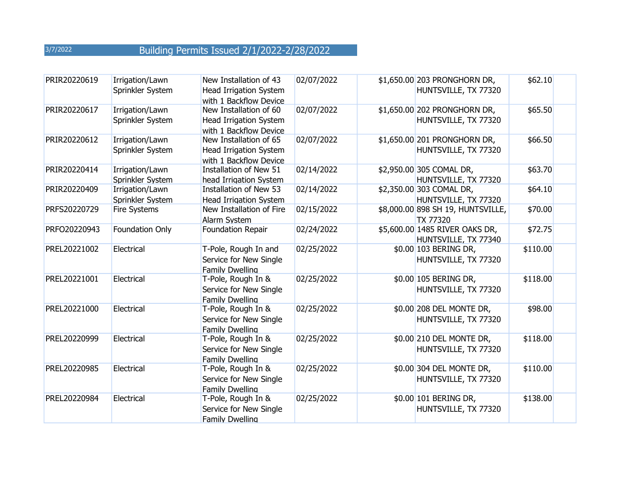| PRIR20220619 | Irrigation/Lawn<br>Sprinkler System | New Installation of 43<br>Head Irrigation System<br>with 1 Backflow Device | 02/07/2022 | \$1,650.00 203 PRONGHORN DR,<br>HUNTSVILLE, TX 77320   | \$62.10  |
|--------------|-------------------------------------|----------------------------------------------------------------------------|------------|--------------------------------------------------------|----------|
| PRIR20220617 | Irrigation/Lawn<br>Sprinkler System | New Installation of 60<br>Head Irrigation System<br>with 1 Backflow Device | 02/07/2022 | \$1,650.00 202 PRONGHORN DR,<br>HUNTSVILLE, TX 77320   | \$65.50  |
| PRIR20220612 | Irrigation/Lawn<br>Sprinkler System | New Installation of 65<br>Head Irrigation System<br>with 1 Backflow Device | 02/07/2022 | \$1,650.00 201 PRONGHORN DR,<br>HUNTSVILLE, TX 77320   | \$66.50  |
| PRIR20220414 | Irrigation/Lawn<br>Sprinkler System | Installation of New 51<br>head Irrigation System                           | 02/14/2022 | \$2,950.00 305 COMAL DR,<br>HUNTSVILLE, TX 77320       | \$63.70  |
| PRIR20220409 | Irrigation/Lawn<br>Sprinkler System | Installation of New 53<br><b>Head Irrigation System</b>                    | 02/14/2022 | \$2,350.00 303 COMAL DR,<br>HUNTSVILLE, TX 77320       | \$64.10  |
| PRFS20220729 | Fire Systems                        | New Installation of Fire<br>Alarm System                                   | 02/15/2022 | \$8,000.00 898 SH 19, HUNTSVILLE,<br><b>TX 77320</b>   | \$70.00  |
| PRFO20220943 | Foundation Only                     | Foundation Repair                                                          | 02/24/2022 | \$5,600.00 1485 RIVER OAKS DR,<br>HUNTSVILLE, TX 77340 | \$72.75  |
| PREL20221002 | Electrical                          | T-Pole, Rough In and<br>Service for New Single<br>Family Dwelling          | 02/25/2022 | \$0.00 103 BERING DR,<br>HUNTSVILLE, TX 77320          | \$110.00 |
| PREL20221001 | Electrical                          | T-Pole, Rough In &<br>Service for New Single<br>Family Dwelling            | 02/25/2022 | \$0.00 105 BERING DR,<br>HUNTSVILLE, TX 77320          | \$118.00 |
| PREL20221000 | Electrical                          | T-Pole, Rough In &<br>Service for New Single<br><b>Family Dwelling</b>     | 02/25/2022 | \$0.00 208 DEL MONTE DR,<br>HUNTSVILLE, TX 77320       | \$98.00  |
| PREL20220999 | Electrical                          | T-Pole, Rough In &<br>Service for New Single<br>Family Dwelling            | 02/25/2022 | \$0.00 210 DEL MONTE DR,<br>HUNTSVILLE, TX 77320       | \$118.00 |
| PREL20220985 | Electrical                          | T-Pole, Rough In &<br>Service for New Single<br>Family Dwelling            | 02/25/2022 | \$0.00 304 DEL MONTE DR,<br>HUNTSVILLE, TX 77320       | \$110.00 |
| PREL20220984 | Electrical                          | T-Pole, Rough In &<br>Service for New Single<br>Family Dwelling            | 02/25/2022 | \$0.00 101 BERING DR,<br>HUNTSVILLE, TX 77320          | \$138.00 |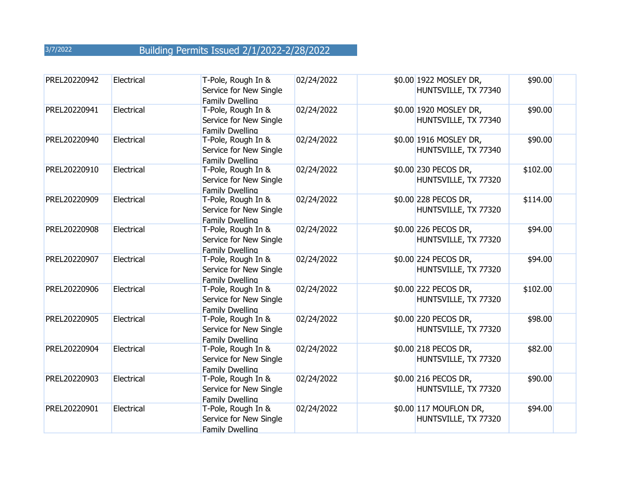| PREL20220942 | Electrical | T-Pole, Rough In &<br>Service for New Single<br>Family Dwelling | 02/24/2022 | \$0.00 1922 MOSLEY DR,<br>HUNTSVILLE, TX 77340 | \$90.00  |
|--------------|------------|-----------------------------------------------------------------|------------|------------------------------------------------|----------|
| PREL20220941 | Electrical | T-Pole, Rough In &<br>Service for New Single<br>Family Dwelling | 02/24/2022 | \$0.00 1920 MOSLEY DR,<br>HUNTSVILLE, TX 77340 | \$90.00  |
| PREL20220940 | Electrical | T-Pole, Rough In &<br>Service for New Single<br>Family Dwelling | 02/24/2022 | \$0.00 1916 MOSLEY DR,<br>HUNTSVILLE, TX 77340 | \$90.00  |
| PREL20220910 | Electrical | T-Pole, Rough In &<br>Service for New Single<br>Family Dwelling | 02/24/2022 | \$0.00 230 PECOS DR,<br>HUNTSVILLE, TX 77320   | \$102.00 |
| PREL20220909 | Electrical | T-Pole, Rough In &<br>Service for New Single<br>Family Dwelling | 02/24/2022 | \$0.00 228 PECOS DR,<br>HUNTSVILLE, TX 77320   | \$114.00 |
| PREL20220908 | Electrical | T-Pole, Rough In &<br>Service for New Single<br>Family Dwelling | 02/24/2022 | \$0.00 226 PECOS DR,<br>HUNTSVILLE, TX 77320   | \$94.00  |
| PREL20220907 | Electrical | T-Pole, Rough In &<br>Service for New Single<br>Family Dwelling | 02/24/2022 | \$0.00 224 PECOS DR,<br>HUNTSVILLE, TX 77320   | \$94.00  |
| PREL20220906 | Electrical | T-Pole, Rough In &<br>Service for New Single<br>Family Dwelling | 02/24/2022 | \$0.00 222 PECOS DR,<br>HUNTSVILLE, TX 77320   | \$102.00 |
| PREL20220905 | Electrical | T-Pole, Rough In &<br>Service for New Single<br>Family Dwelling | 02/24/2022 | \$0.00 220 PECOS DR,<br>HUNTSVILLE, TX 77320   | \$98.00  |
| PREL20220904 | Electrical | T-Pole, Rough In &<br>Service for New Single<br>Family Dwelling | 02/24/2022 | \$0.00 218 PECOS DR,<br>HUNTSVILLE, TX 77320   | \$82.00  |
| PREL20220903 | Electrical | T-Pole, Rough In &<br>Service for New Single<br>Family Dwelling | 02/24/2022 | \$0.00 216 PECOS DR,<br>HUNTSVILLE, TX 77320   | \$90.00  |
| PREL20220901 | Electrical | T-Pole, Rough In &<br>Service for New Single<br>Family Dwelling | 02/24/2022 | \$0.00 117 MOUFLON DR,<br>HUNTSVILLE, TX 77320 | \$94.00  |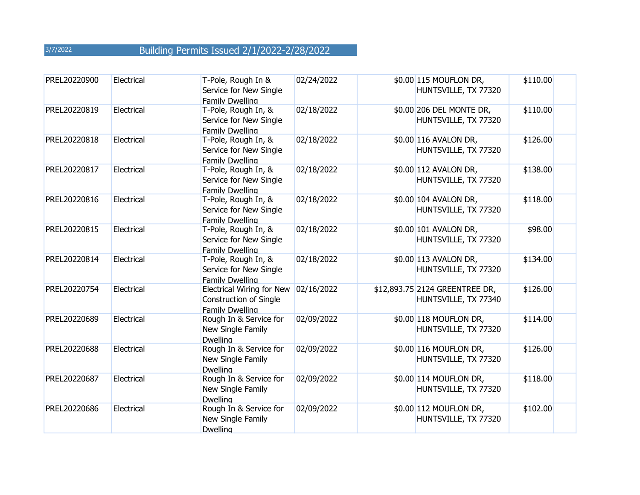| PREL20220900 | Electrical | T-Pole, Rough In &<br>Service for New Single<br>Family Dwelling               | 02/24/2022 | \$0.00 115 MOUFLON DR,<br>HUNTSVILLE, TX 77320         | \$110.00 |
|--------------|------------|-------------------------------------------------------------------------------|------------|--------------------------------------------------------|----------|
| PREL20220819 | Electrical | T-Pole, Rough In, &<br>Service for New Single<br><b>Family Dwelling</b>       | 02/18/2022 | \$0.00 206 DEL MONTE DR,<br>HUNTSVILLE, TX 77320       | \$110.00 |
| PREL20220818 | Electrical | T-Pole, Rough In, &<br>Service for New Single<br>Family Dwelling              | 02/18/2022 | \$0.00 116 AVALON DR,<br>HUNTSVILLE, TX 77320          | \$126.00 |
| PREL20220817 | Electrical | T-Pole, Rough In, &<br>Service for New Single<br>Family Dwelling              | 02/18/2022 | \$0.00 112 AVALON DR,<br>HUNTSVILLE, TX 77320          | \$138.00 |
| PREL20220816 | Electrical | T-Pole, Rough In, &<br>Service for New Single<br>Family Dwelling              | 02/18/2022 | \$0.00 104 AVALON DR,<br>HUNTSVILLE, TX 77320          | \$118.00 |
| PREL20220815 | Electrical | T-Pole, Rough In, &<br>Service for New Single<br>Family Dwelling              | 02/18/2022 | \$0.00 101 AVALON DR,<br>HUNTSVILLE, TX 77320          | \$98.00  |
| PREL20220814 | Electrical | T-Pole, Rough In, &<br>Service for New Single<br><b>Family Dwelling</b>       | 02/18/2022 | \$0.00 113 AVALON DR,<br>HUNTSVILLE, TX 77320          | \$134.00 |
| PREL20220754 | Electrical | Electrical Wiring for New<br><b>Construction of Single</b><br>Family Dwelling | 02/16/2022 | \$12,893.75 2124 GREENTREE DR,<br>HUNTSVILLE, TX 77340 | \$126.00 |
| PREL20220689 | Electrical | Rough In & Service for<br>New Single Family<br><b>Dwelling</b>                | 02/09/2022 | \$0.00 118 MOUFLON DR,<br>HUNTSVILLE, TX 77320         | \$114.00 |
| PREL20220688 | Electrical | Rough In & Service for<br>New Single Family<br><b>Dwelling</b>                | 02/09/2022 | \$0.00 116 MOUFLON DR,<br>HUNTSVILLE, TX 77320         | \$126.00 |
| PREL20220687 | Electrical | Rough In & Service for<br>New Single Family<br><b>Dwelling</b>                | 02/09/2022 | \$0.00 114 MOUFLON DR,<br>HUNTSVILLE, TX 77320         | \$118.00 |
| PREL20220686 | Electrical | Rough In & Service for<br>New Single Family<br><b>Dwelling</b>                | 02/09/2022 | \$0.00 112 MOUFLON DR,<br>HUNTSVILLE, TX 77320         | \$102.00 |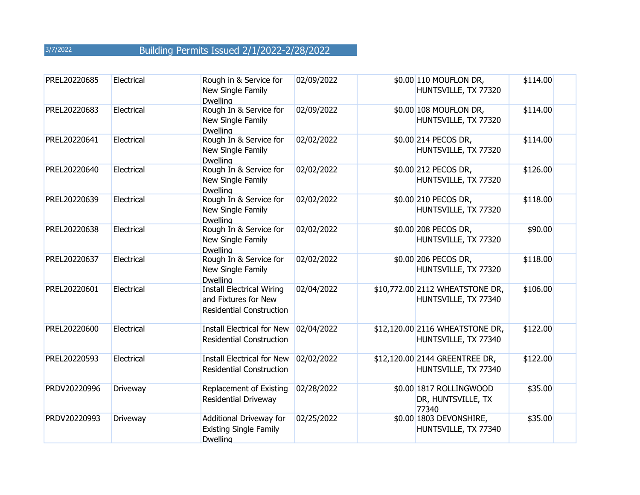| PREL20220685 | Electrical | Rough in & Service for<br>New Single Family<br><b>Dwelling</b>                              | 02/09/2022 | \$0.00 110 MOUFLON DR,<br>HUNTSVILLE, TX 77320          | \$114.00 |
|--------------|------------|---------------------------------------------------------------------------------------------|------------|---------------------------------------------------------|----------|
| PREL20220683 | Electrical | Rough In & Service for<br>New Single Family<br><b>Dwelling</b>                              | 02/09/2022 | \$0.00 108 MOUFLON DR,<br>HUNTSVILLE, TX 77320          | \$114.00 |
| PREL20220641 | Electrical | Rough In & Service for<br>New Single Family<br><b>Dwelling</b>                              | 02/02/2022 | \$0.00 214 PECOS DR,<br>HUNTSVILLE, TX 77320            | \$114.00 |
| PREL20220640 | Electrical | Rough In & Service for<br>New Single Family<br><b>Dwelling</b>                              | 02/02/2022 | \$0.00 212 PECOS DR,<br>HUNTSVILLE, TX 77320            | \$126.00 |
| PREL20220639 | Electrical | Rough In & Service for<br>New Single Family<br><b>Dwelling</b>                              | 02/02/2022 | \$0.00 210 PECOS DR,<br>HUNTSVILLE, TX 77320            | \$118.00 |
| PREL20220638 | Electrical | Rough In & Service for<br>New Single Family<br><b>Dwelling</b>                              | 02/02/2022 | \$0.00 208 PECOS DR,<br>HUNTSVILLE, TX 77320            | \$90.00  |
| PREL20220637 | Electrical | Rough In & Service for<br>New Single Family<br><b>Dwelling</b>                              | 02/02/2022 | \$0.00 206 PECOS DR,<br>HUNTSVILLE, TX 77320            | \$118.00 |
| PREL20220601 | Electrical | <b>Install Electrical Wiring</b><br>and Fixtures for New<br><b>Residential Construction</b> | 02/04/2022 | \$10,772.00 2112 WHEATSTONE DR,<br>HUNTSVILLE, TX 77340 | \$106.00 |
| PREL20220600 | Electrical | <b>Install Electrical for New</b><br><b>Residential Construction</b>                        | 02/04/2022 | \$12,120.00 2116 WHEATSTONE DR,<br>HUNTSVILLE, TX 77340 | \$122.00 |
| PREL20220593 | Electrical | <b>Install Electrical for New</b><br><b>Residential Construction</b>                        | 02/02/2022 | \$12,120.00 2144 GREENTREE DR,<br>HUNTSVILLE, TX 77340  | \$122.00 |
| PRDV20220996 | Driveway   | Replacement of Existing<br>Residential Driveway                                             | 02/28/2022 | \$0.00 1817 ROLLINGWOOD<br>DR, HUNTSVILLE, TX<br>77340  | \$35.00  |
| PRDV20220993 | Driveway   | Additional Driveway for<br><b>Existing Single Family</b><br><b>Dwelling</b>                 | 02/25/2022 | \$0.00 1803 DEVONSHIRE,<br>HUNTSVILLE, TX 77340         | \$35.00  |